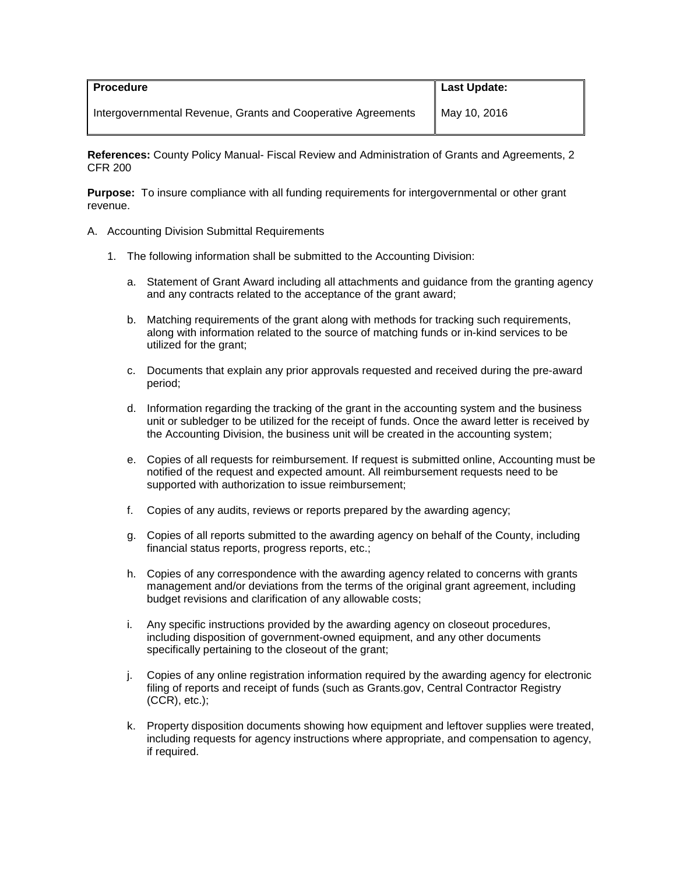| <b>Procedure</b>                                             | <b>Last Update:</b> |
|--------------------------------------------------------------|---------------------|
| Intergovernmental Revenue, Grants and Cooperative Agreements | May 10, 2016        |

**References:** County Policy Manual- Fiscal Review and Administration of Grants and Agreements, 2 CFR 200

**Purpose:** To insure compliance with all funding requirements for intergovernmental or other grant revenue.

- A. Accounting Division Submittal Requirements
	- 1. The following information shall be submitted to the Accounting Division:
		- a. Statement of Grant Award including all attachments and guidance from the granting agency and any contracts related to the acceptance of the grant award;
		- b. Matching requirements of the grant along with methods for tracking such requirements, along with information related to the source of matching funds or in-kind services to be utilized for the grant;
		- c. Documents that explain any prior approvals requested and received during the pre-award period;
		- d. Information regarding the tracking of the grant in the accounting system and the business unit or subledger to be utilized for the receipt of funds. Once the award letter is received by the Accounting Division, the business unit will be created in the accounting system;
		- e. Copies of all requests for reimbursement. If request is submitted online, Accounting must be notified of the request and expected amount. All reimbursement requests need to be supported with authorization to issue reimbursement;
		- f. Copies of any audits, reviews or reports prepared by the awarding agency;
		- g. Copies of all reports submitted to the awarding agency on behalf of the County, including financial status reports, progress reports, etc.;
		- h. Copies of any correspondence with the awarding agency related to concerns with grants management and/or deviations from the terms of the original grant agreement, including budget revisions and clarification of any allowable costs;
		- i. Any specific instructions provided by the awarding agency on closeout procedures, including disposition of government-owned equipment, and any other documents specifically pertaining to the closeout of the grant;
		- j. Copies of any online registration information required by the awarding agency for electronic filing of reports and receipt of funds (such as Grants.gov, Central Contractor Registry  $(CCR)$ , etc.);
		- k. Property disposition documents showing how equipment and leftover supplies were treated, including requests for agency instructions where appropriate, and compensation to agency, if required.